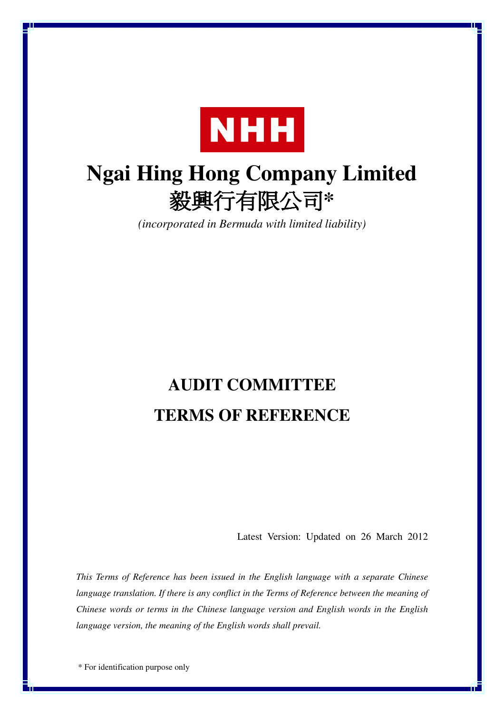

# **Ngai Hing Hong Company Limited** 毅興行有限公司\*

*(incorporated in Bermuda with limited liability)*

# **AUDIT COMMITTEE TERMS OF REFERENCE**

Latest Version: Updated on 26 March 2012

*This Terms of Reference has been issued in the English language with a separate Chinese language translation. If there is any conflict in the Terms of Reference between the meaning of Chinese words or terms in the Chinese language version and English words in the English language version, the meaning of the English words shall prevail.*

\* For identification purpose only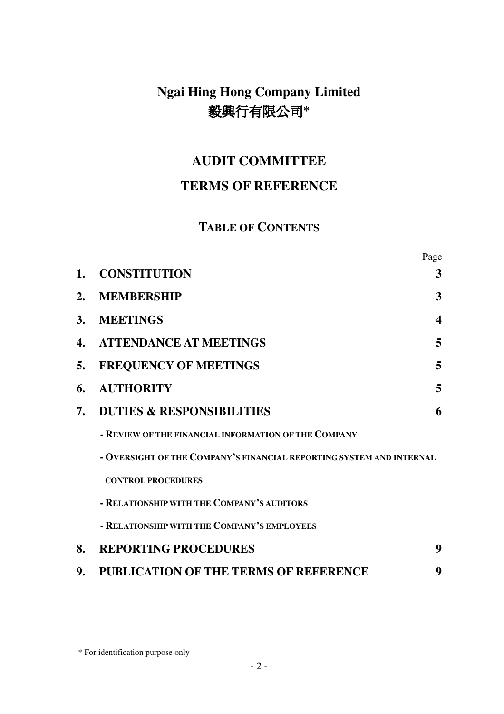# **Ngai Hing Hong Company Limited** 毅興行有限公司\*

## **AUDIT COMMITTEE**

## **TERMS OF REFERENCE**

## **TABLE OF CONTENTS**

|           |                                                                      | Page                  |
|-----------|----------------------------------------------------------------------|-----------------------|
| 1.        | <b>CONSTITUTION</b>                                                  | 3                     |
| 2.        | <b>MEMBERSHIP</b>                                                    | 3                     |
| <b>3.</b> | <b>MEETINGS</b>                                                      | $\boldsymbol{\Delta}$ |
| 4.        | <b>ATTENDANCE AT MEETINGS</b>                                        | 5                     |
| 5.        | <b>FREQUENCY OF MEETINGS</b>                                         | 5                     |
| 6.        | <b>AUTHORITY</b>                                                     | 5                     |
| 7.        | <b>DUTIES &amp; RESPONSIBILITIES</b>                                 | 6                     |
|           | - REVIEW OF THE FINANCIAL INFORMATION OF THE COMPANY                 |                       |
|           | - OVERSIGHT OF THE COMPANY'S FINANCIAL REPORTING SYSTEM AND INTERNAL |                       |
|           | <b>CONTROL PROCEDURES</b>                                            |                       |
|           | - RELATIONSHIP WITH THE COMPANY'S AUDITORS                           |                       |
|           | - RELATIONSHIP WITH THE COMPANY'S EMPLOYEES                          |                       |
| 8.        | <b>REPORTING PROCEDURES</b>                                          | 9                     |
| 9.        | <b>PUBLICATION OF THE TERMS OF REFERENCE</b>                         | 9                     |

\* For identification purpose only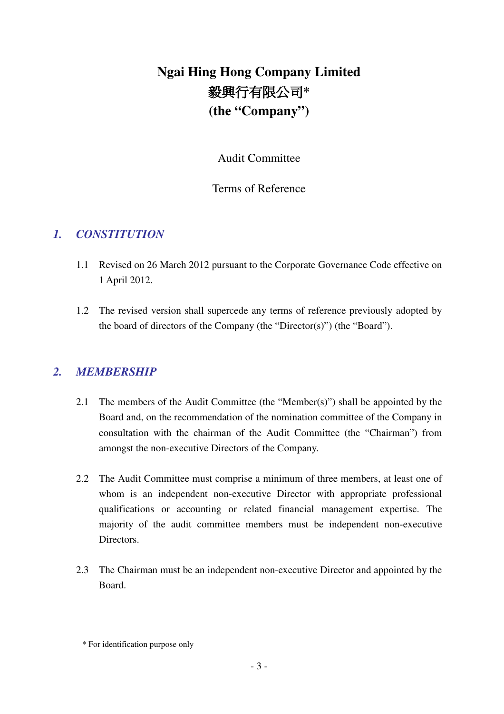# **Ngai Hing Hong Company Limited 毅興行有限公司\* (the "Company")**

Audit Committee

#### Terms of Reference

## *1. CONSTITUTION*

- 1.1 Revised on 26 March 2012 pursuant to the Corporate Governance Code effective on 1 April 2012.
- 1.2 The revised version shall supercede any terms of reference previously adopted by the board of directors of the Company (the "Director(s)") (the "Board").

#### *2. MEMBERSHIP*

- 2.1 The members of the Audit Committee (the "Member(s)") shall be appointed by the Board and, on the recommendation of the nomination committee of the Company in consultation with the chairman of the Audit Committee (the "Chairman") from amongst the non-executive Directors of the Company.
- 2.2 The Audit Committee must comprise a minimum of three members, at least one of whom is an independent non-executive Director with appropriate professional qualifications or accounting or related financial management expertise. The majority of the audit committee members must be independent non-executive Directors.
- 2.3 The Chairman must be an independent non-executive Director and appointed by the Board.

<sup>\*</sup> For identification purpose only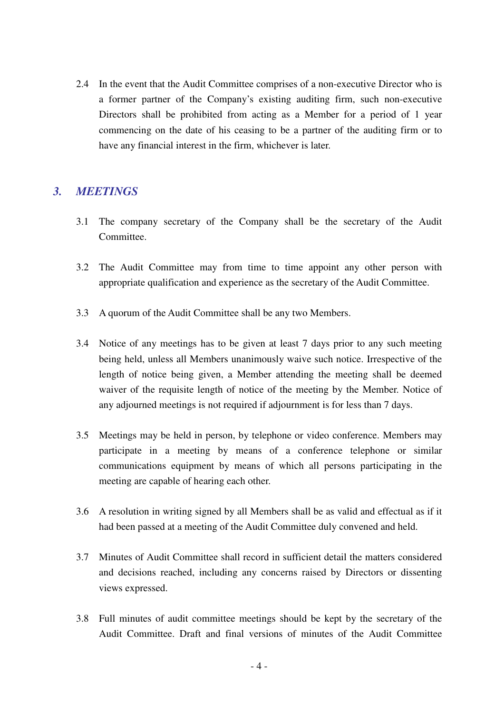2.4 In the event that the Audit Committee comprises of a non-executive Director who is a former partner of the Company's existing auditing firm, such non-executive Directors shall be prohibited from acting as a Member for a period of 1 year commencing on the date of his ceasing to be a partner of the auditing firm or to have any financial interest in the firm, whichever is later.

#### *3. MEETINGS*

- 3.1 The company secretary of the Company shall be the secretary of the Audit Committee.
- 3.2 The Audit Committee may from time to time appoint any other person with appropriate qualification and experience as the secretary of the Audit Committee.
- 3.3 A quorum of the Audit Committee shall be any two Members.
- 3.4 Notice of any meetings has to be given at least 7 days prior to any such meeting being held, unless all Members unanimously waive such notice. Irrespective of the length of notice being given, a Member attending the meeting shall be deemed waiver of the requisite length of notice of the meeting by the Member. Notice of any adjourned meetings is not required if adjournment is for less than 7 days.
- 3.5 Meetings may be held in person, by telephone or video conference. Members may participate in a meeting by means of a conference telephone or similar communications equipment by means of which all persons participating in the meeting are capable of hearing each other.
- 3.6 A resolution in writing signed by all Members shall be as valid and effectual as if it had been passed at a meeting of the Audit Committee duly convened and held.
- 3.7 Minutes of Audit Committee shall record in sufficient detail the matters considered and decisions reached, including any concerns raised by Directors or dissenting views expressed.
- 3.8 Full minutes of audit committee meetings should be kept by the secretary of the Audit Committee. Draft and final versions of minutes of the Audit Committee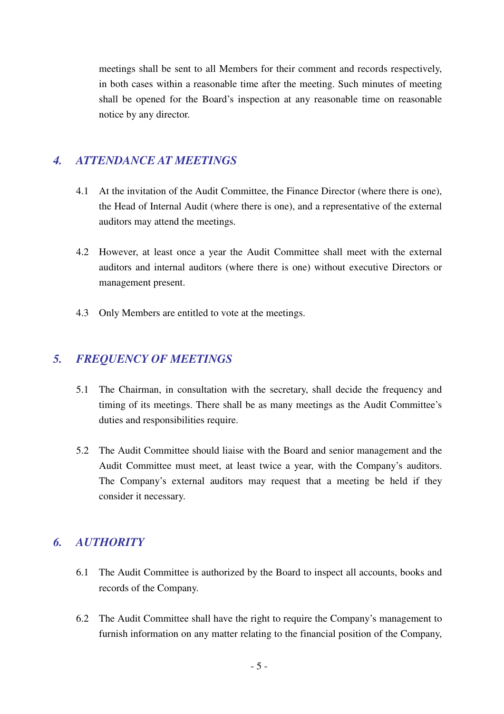meetings shall be sent to all Members for their comment and records respectively, in both cases within a reasonable time after the meeting. Such minutes of meeting shall be opened for the Board's inspection at any reasonable time on reasonable notice by any director.

### *4. ATTENDANCE AT MEETINGS*

- 4.1 At the invitation of the Audit Committee, the Finance Director (where there is one), the Head of Internal Audit (where there is one), and a representative of the external auditors may attend the meetings.
- 4.2 However, at least once a year the Audit Committee shall meet with the external auditors and internal auditors (where there is one) without executive Directors or management present.
- 4.3 Only Members are entitled to vote at the meetings.

### *5. FREQUENCY OF MEETINGS*

- 5.1 The Chairman, in consultation with the secretary, shall decide the frequency and timing of its meetings. There shall be as many meetings as the Audit Committee's duties and responsibilities require.
- 5.2 The Audit Committee should liaise with the Board and senior management and the Audit Committee must meet, at least twice a year, with the Company's auditors. The Company's external auditors may request that a meeting be held if they consider it necessary.

#### *6. AUTHORITY*

- 6.1 The Audit Committee is authorized by the Board to inspect all accounts, books and records of the Company.
- 6.2 The Audit Committee shall have the right to require the Company's management to furnish information on any matter relating to the financial position of the Company,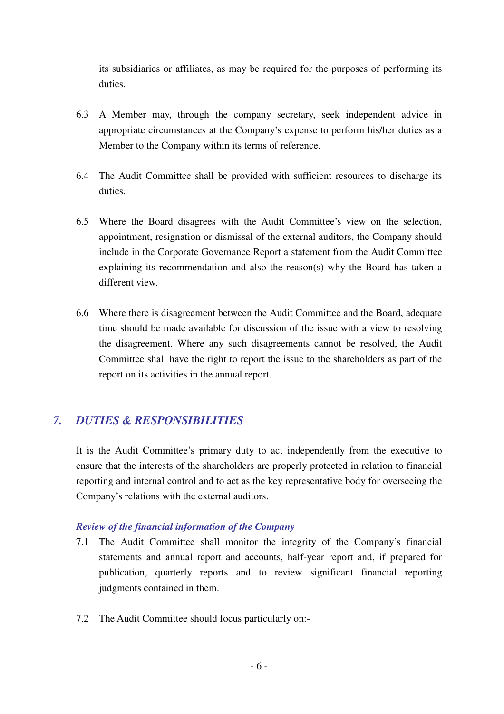its subsidiaries or affiliates, as may be required for the purposes of performing its duties.

- 6.3 A Member may, through the company secretary, seek independent advice in appropriate circumstances at the Company's expense to perform his/her duties as a Member to the Company within its terms of reference.
- 6.4 The Audit Committee shall be provided with sufficient resources to discharge its duties.
- 6.5 Where the Board disagrees with the Audit Committee's view on the selection, appointment, resignation or dismissal of the external auditors, the Company should include in the Corporate Governance Report a statement from the Audit Committee explaining its recommendation and also the reason(s) why the Board has taken a different view.
- 6.6 Where there is disagreement between the Audit Committee and the Board, adequate time should be made available for discussion of the issue with a view to resolving the disagreement. Where any such disagreements cannot be resolved, the Audit Committee shall have the right to report the issue to the shareholders as part of the report on its activities in the annual report.

## *7. DUTIES & RESPONSIBILITIES*

It is the Audit Committee's primary duty to act independently from the executive to ensure that the interests of the shareholders are properly protected in relation to financial reporting and internal control and to act as the key representative body for overseeing the Company's relations with the external auditors.

#### *Review of the financial information of the Company*

- 7.1 The Audit Committee shall monitor the integrity of the Company's financial statements and annual report and accounts, half-year report and, if prepared for publication, quarterly reports and to review significant financial reporting judgments contained in them.
- 7.2 The Audit Committee should focus particularly on:-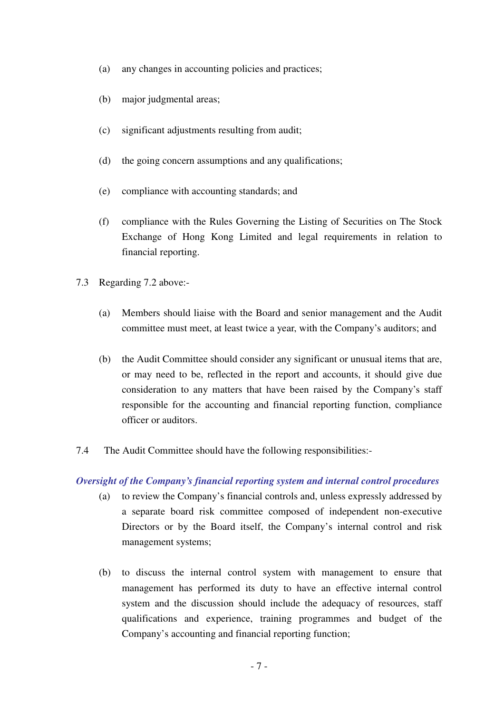- (a) any changes in accounting policies and practices;
- (b) major judgmental areas;
- (c) significant adjustments resulting from audit;
- (d) the going concern assumptions and any qualifications;
- (e) compliance with accounting standards; and
- (f) compliance with the Rules Governing the Listing of Securities on The Stock Exchange of Hong Kong Limited and legal requirements in relation to financial reporting.
- 7.3 Regarding 7.2 above:-
	- (a) Members should liaise with the Board and senior management and the Audit committee must meet, at least twice a year, with the Company's auditors; and
	- (b) the Audit Committee should consider any significant or unusual items that are, or may need to be, reflected in the report and accounts, it should give due consideration to any matters that have been raised by the Company's staff responsible for the accounting and financial reporting function, compliance officer or auditors.
- 7.4 The Audit Committee should have the following responsibilities:-

#### *Oversight of the Company's financial reporting system and internal control procedures*

- (a) to review the Company's financial controls and, unless expressly addressed by a separate board risk committee composed of independent non-executive Directors or by the Board itself, the Company's internal control and risk management systems;
- (b) to discuss the internal control system with management to ensure that management has performed its duty to have an effective internal control system and the discussion should include the adequacy of resources, staff qualifications and experience, training programmes and budget of the Company's accounting and financial reporting function;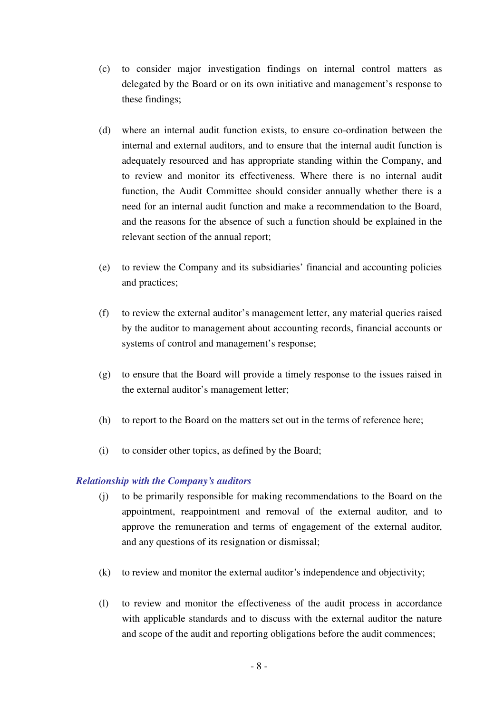- (c) to consider major investigation findings on internal control matters as delegated by the Board or on its own initiative and management's response to these findings;
- (d) where an internal audit function exists, to ensure co-ordination between the internal and external auditors, and to ensure that the internal audit function is adequately resourced and has appropriate standing within the Company, and to review and monitor its effectiveness. Where there is no internal audit function, the Audit Committee should consider annually whether there is a need for an internal audit function and make a recommendation to the Board, and the reasons for the absence of such a function should be explained in the relevant section of the annual report;
- (e) to review the Company and its subsidiaries' financial and accounting policies and practices;
- (f) to review the external auditor's management letter, any material queries raised by the auditor to management about accounting records, financial accounts or systems of control and management's response;
- (g) to ensure that the Board will provide a timely response to the issues raised in the external auditor's management letter;
- (h) to report to the Board on the matters set out in the terms of reference here;
- (i) to consider other topics, as defined by the Board;

#### *Relationship with the Company's auditors*

- (j) to be primarily responsible for making recommendations to the Board on the appointment, reappointment and removal of the external auditor, and to approve the remuneration and terms of engagement of the external auditor, and any questions of its resignation or dismissal;
- (k) to review and monitor the external auditor's independence and objectivity;
- (l) to review and monitor the effectiveness of the audit process in accordance with applicable standards and to discuss with the external auditor the nature and scope of the audit and reporting obligations before the audit commences;